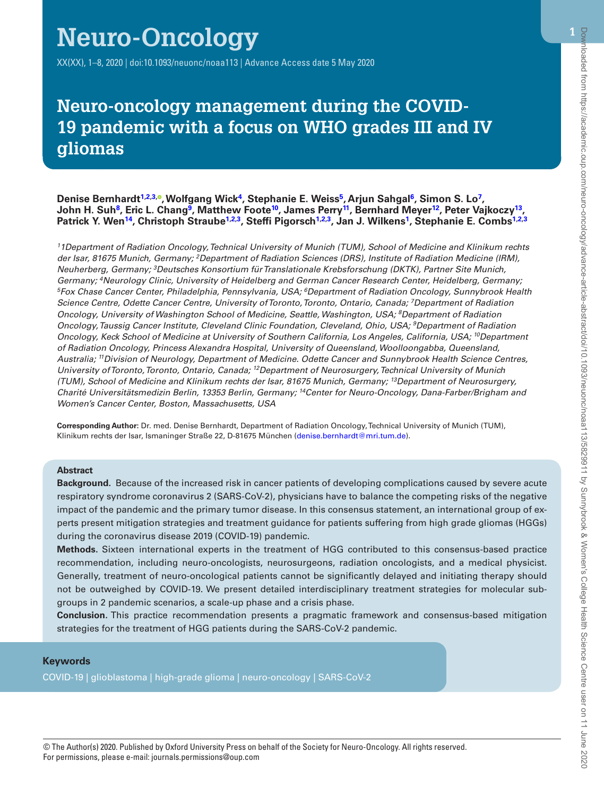# **Neuro-Oncology**

XX(XX), 1–8, 2020 | doi:10.1093/neuonc/noaa113 | Advance Access date 5 May 2020

# **Neuro-oncology management during the COVID-19 pandemic with a focus on WHO grades III and IV gliomas**

#### **Denise Bernhard[t1,](#page-0-0)[2](#page-0-1)[,3](#page-0-2), [,](http://orcid.org/0000-0001-5231-9097) Wolfgang Wic[k4](#page-0-3), Stephanie E. Weiss[5,](#page-0-4) Arjun Sahgal[6](#page-0-5), Simon S. L[o7,](#page-0-6) John H. Su[h8,](#page-0-7) Eric L. Chan[g9,](#page-0-8) Matthew Foote[10,](#page-0-9) James Perr[y11,](#page-0-10) Bernhard Meyer[12](#page-0-11), Peter Vajkocz[y13,](#page-0-12) Patrick Y. Wen[14](#page-0-13), Christoph Straube[1](#page-0-0)[,2](#page-0-1)[,3,](#page-0-2) Steffi Pigorsch[1](#page-0-0)[,2,](#page-0-1)[3,](#page-0-2) Jan J. Wilkens[1,](#page-0-0) Stephanie E. Combs[1,](#page-0-0)[2](#page-0-1),[3](#page-0-2)**

<span id="page-0-9"></span><span id="page-0-8"></span><span id="page-0-7"></span><span id="page-0-6"></span><span id="page-0-5"></span><span id="page-0-4"></span><span id="page-0-3"></span><span id="page-0-2"></span><span id="page-0-1"></span><span id="page-0-0"></span>*11Department of Radiation Oncology, Technical University of Munich (TUM), School of Medicine and Klinikum rechts der Isar, 81675 Munich, Germany; 2Department of Radiation Sciences (DRS), Institute of Radiation Medicine (IRM), Neuherberg, Germany; 3Deutsches Konsortium für Translationale Krebsforschung (DKTK), Partner Site Munich,*  Germany; <sup>4</sup>Neurology Clinic, University of Heidelberg and German Cancer Research Center, Heidelberg, Germany;<br><sup>5</sup>Fox Chase Cancer Center, Philadelphia, Pennsylvania, USA; <sup>6</sup>Department of Radiation Oncology, Sunnybrook He *Science Centre, Odette Cancer Centre, University of Toronto, Toronto, Ontario, Canada; 7Department of Radiation Oncology, University of Washington School of Medicine, Seattle, Washington, USA; 8Department of Radiation Oncology, Taussig Cancer Institute, Cleveland Clinic Foundation, Cleveland, Ohio, USA; 9Department of Radiation Oncology, Keck School of Medicine at University of Southern California, Los Angeles, California, USA; 10Department of Radiation Oncology, Princess Alexandra Hospital, University of Queensland, Woolloongabba, Queensland, Australia; 11Division of Neurology, Department of Medicine. Odette Cancer and Sunnybrook Health Science Centres, University of Toronto, Toronto, Ontario, Canada; 12Department of Neurosurgery, Technical University of Munich (TUM), School of Medicine and Klinikum rechts der Isar, 81675 Munich, Germany; 13Department of Neurosurgery, Charité Universitätsmedizin Berlin, 13353 Berlin, Germany; 14Center for Neuro-Oncology, Dana-Farber/Brigham and Women's Cancer Center, Boston, Massachusetts, USA*

<span id="page-0-13"></span><span id="page-0-12"></span><span id="page-0-11"></span><span id="page-0-10"></span>**Corresponding Author:** Dr. med. Denise Bernhardt, Department of Radiation Oncology, Technical University of Munich (TUM), Klinikum rechts der Isar, Ismaninger Straße 22, D-81675 München ([denise.bernhardt@mri.tum.de](mailto:denise.bernhardt@mri.tum.de?subject=)).

#### **Abstract**

Ņ

**Background.** Because of the increased risk in cancer patients of developing complications caused by severe acute respiratory syndrome coronavirus 2 (SARS-CoV-2), physicians have to balance the competing risks of the negative impact of the pandemic and the primary tumor disease. In this consensus statement, an international group of experts present mitigation strategies and treatment guidance for patients suffering from high grade gliomas (HGGs) during the coronavirus disease 2019 (COVID-19) pandemic.

**Methods.** Sixteen international experts in the treatment of HGG contributed to this consensus-based practice recommendation, including neuro-oncologists, neurosurgeons, radiation oncologists, and a medical physicist. Generally, treatment of neuro-oncological patients cannot be significantly delayed and initiating therapy should not be outweighed by COVID-19. We present detailed interdisciplinary treatment strategies for molecular subgroups in 2 pandemic scenarios, a scale-up phase and a crisis phase.

**Conclusion.** This practice recommendation presents a pragmatic framework and consensus-based mitigation strategies for the treatment of HGG patients during the SARS-CoV-2 pandemic.

#### **Keywords**

COVID-19 | glioblastoma | high-grade glioma | neuro-oncology | SARS-CoV-2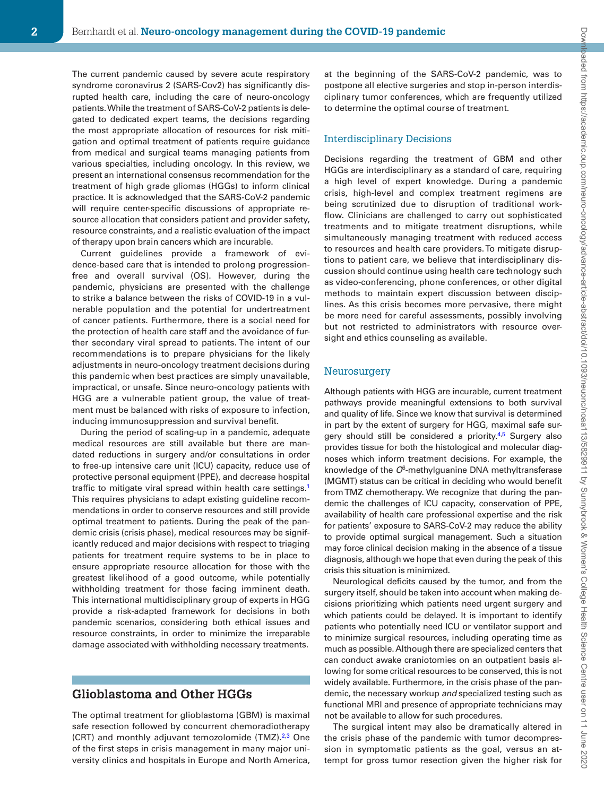The current pandemic caused by severe acute respiratory syndrome coronavirus 2 (SARS-Cov2) has significantly disrupted health care, including the care of neuro-oncology patients. While the treatment of SARS-CoV-2 patients is delegated to dedicated expert teams, the decisions regarding the most appropriate allocation of resources for risk mitigation and optimal treatment of patients require guidance from medical and surgical teams managing patients from various specialties, including oncology. In this review, we present an international consensus recommendation for the treatment of high grade gliomas (HGGs) to inform clinical practice. It is acknowledged that the SARS-CoV-2 pandemic will require center-specific discussions of appropriate resource allocation that considers patient and provider safety, resource constraints, and a realistic evaluation of the impact of therapy upon brain cancers which are incurable.

Current guidelines provide a framework of evidence-based care that is intended to prolong progressionfree and overall survival (OS). However, during the pandemic, physicians are presented with the challenge to strike a balance between the risks of COVID-19 in a vulnerable population and the potential for undertreatment of cancer patients. Furthermore, there is a social need for the protection of health care staff and the avoidance of further secondary viral spread to patients. The intent of our recommendations is to prepare physicians for the likely adjustments in neuro-oncology treatment decisions during this pandemic when best practices are simply unavailable, impractical, or unsafe. Since neuro-oncology patients with HGG are a vulnerable patient group, the value of treatment must be balanced with risks of exposure to infection, inducing immunosuppression and survival benefit.

During the period of scaling-up in a pandemic, adequate medical resources are still available but there are mandated reductions in surgery and/or consultations in order to free-up intensive care unit (ICU) capacity, reduce use of protective personal equipment (PPE), and decrease hospital traffic to mitigate viral spread within health care settings.<sup>[1](#page-7-0)</sup> This requires physicians to adapt existing guideline recommendations in order to conserve resources and still provide optimal treatment to patients. During the peak of the pandemic crisis (crisis phase), medical resources may be significantly reduced and major decisions with respect to triaging patients for treatment require systems to be in place to ensure appropriate resource allocation for those with the greatest likelihood of a good outcome, while potentially withholding treatment for those facing imminent death. This international multidisciplinary group of experts in HGG provide a risk-adapted framework for decisions in both pandemic scenarios, considering both ethical issues and resource constraints, in order to minimize the irreparable damage associated with withholding necessary treatments.

### **Glioblastoma and Other HGGs**

The optimal treatment for glioblastoma (GBM) is maximal safe resection followed by concurrent chemoradiotherapy (CRT) and monthly adjuvant temozolomide (TMZ).<sup>2,3</sup> One of the first steps in crisis management in many major university clinics and hospitals in Europe and North America,

at the beginning of the SARS-CoV-2 pandemic, was to postpone all elective surgeries and stop in-person interdisciplinary tumor conferences, which are frequently utilized to determine the optimal course of treatment.

#### Interdisciplinary Decisions

Decisions regarding the treatment of GBM and other HGGs are interdisciplinary as a standard of care, requiring a high level of expert knowledge. During a pandemic crisis, high-level and complex treatment regimens are being scrutinized due to disruption of traditional workflow. Clinicians are challenged to carry out sophisticated treatments and to mitigate treatment disruptions, while simultaneously managing treatment with reduced access to resources and health care providers. To mitigate disruptions to patient care, we believe that interdisciplinary discussion should continue using health care technology such as video-conferencing, phone conferences, or other digital methods to maintain expert discussion between disciplines. As this crisis becomes more pervasive, there might be more need for careful assessments, possibly involving but not restricted to administrators with resource oversight and ethics counseling as available.

#### Neurosurgery

Although patients with HGG are incurable, current treatment pathways provide meaningful extensions to both survival and quality of life. Since we know that survival is determined in part by the extent of surgery for HGG, maximal safe surgery should still be considered a priority.<sup>4,5</sup> Surgery also provides tissue for both the histological and molecular diagnoses which inform treatment decisions. For example, the knowledge of the *O*6-methylguanine DNA methyltransferase (MGMT) status can be critical in deciding who would benefit from TMZ chemotherapy. We recognize that during the pandemic the challenges of ICU capacity, conservation of PPE, availability of health care professional expertise and the risk for patients' exposure to SARS-CoV-2 may reduce the ability to provide optimal surgical management. Such a situation may force clinical decision making in the absence of a tissue diagnosis, although we hope that even during the peak of this crisis this situation is minimized.

Neurological deficits caused by the tumor, and from the surgery itself, should be taken into account when making decisions prioritizing which patients need urgent surgery and which patients could be delayed. It is important to identify patients who potentially need ICU or ventilator support and to minimize surgical resources, including operating time as much as possible. Although there are specialized centers that can conduct awake craniotomies on an outpatient basis allowing for some critical resources to be conserved, this is not widely available. Furthermore, in the crisis phase of the pandemic, the necessary workup *and* specialized testing such as functional MRI and presence of appropriate technicians may not be available to allow for such procedures.

The surgical intent may also be dramatically altered in the crisis phase of the pandemic with tumor decompression in symptomatic patients as the goal, versus an attempt for gross tumor resection given the higher risk for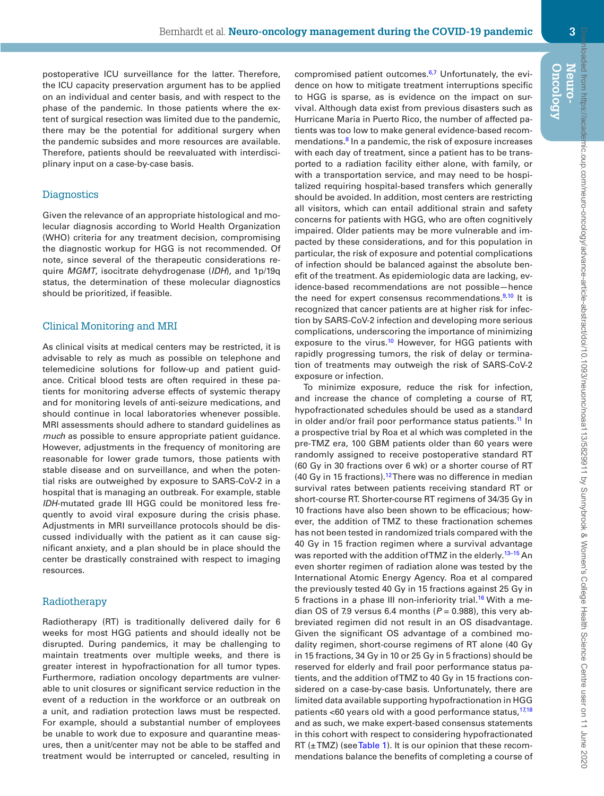postoperative ICU surveillance for the latter. Therefore, the ICU capacity preservation argument has to be applied on an individual and center basis, and with respect to the phase of the pandemic. In those patients where the extent of surgical resection was limited due to the pandemic, there may be the potential for additional surgery when the pandemic subsides and more resources are available. Therefore, patients should be reevaluated with interdisciplinary input on a case-by-case basis.

#### **Diagnostics**

Given the relevance of an appropriate histological and molecular diagnosis according to World Health Organization (WHO) criteria for any treatment decision, compromising the diagnostic workup for HGG is not recommended. Of note, since several of the therapeutic considerations require *MGMT*, isocitrate dehydrogenase (*IDH*), and 1p/19q status, the determination of these molecular diagnostics should be prioritized, if feasible.

#### Clinical Monitoring and MRI

As clinical visits at medical centers may be restricted, it is advisable to rely as much as possible on telephone and telemedicine solutions for follow-up and patient guidance. Critical blood tests are often required in these patients for monitoring adverse effects of systemic therapy and for monitoring levels of anti-seizure medications, and should continue in local laboratories whenever possible. MRI assessments should adhere to standard guidelines as *much* as possible to ensure appropriate patient guidance. However, adjustments in the frequency of monitoring are reasonable for lower grade tumors, those patients with stable disease and on surveillance, and when the potential risks are outweighed by exposure to SARS-CoV-2 in a hospital that is managing an outbreak. For example, stable *IDH*-mutated grade III HGG could be monitored less frequently to avoid viral exposure during the crisis phase. Adjustments in MRI surveillance protocols should be discussed individually with the patient as it can cause significant anxiety, and a plan should be in place should the center be drastically constrained with respect to imaging resources.

#### Radiotherapy

Radiotherapy (RT) is traditionally delivered daily for 6 weeks for most HGG patients and should ideally not be disrupted. During pandemics, it may be challenging to maintain treatments over multiple weeks, and there is greater interest in hypofractionation for all tumor types. Furthermore, radiation oncology departments are vulnerable to unit closures or significant service reduction in the event of a reduction in the workforce or an outbreak on a unit, and radiation protection laws must be respected. For example, should a substantial number of employees be unable to work due to exposure and quarantine measures, then a unit/center may not be able to be staffed and treatment would be interrupted or canceled, resulting in compromised patient outcomes.<sup>[6](#page-7-5),7</sup> Unfortunately, the evidence on how to mitigate treatment interruptions specific to HGG is sparse, as is evidence on the impact on survival. Although data exist from previous disasters such as Hurricane Maria in Puerto Rico, the number of affected patients was too low to make general evidence-based recommendations.[8](#page-7-7) In a pandemic, the risk of exposure increases with each day of treatment, since a patient has to be transported to a radiation facility either alone, with family, or with a transportation service, and may need to be hospitalized requiring hospital-based transfers which generally should be avoided. In addition, most centers are restricting all visitors, which can entail additional strain and safety concerns for patients with HGG, who are often cognitively impaired. Older patients may be more vulnerable and impacted by these considerations, and for this population in particular, the risk of exposure and potential complications of infection should be balanced against the absolute benefit of the treatment. As epidemiologic data are lacking, evidence-based recommendations are not possible—hence the need for expert consensus recommendations. $9,10$  $9,10$  It is recognized that cancer patients are at higher risk for infection by SARS-CoV-2 infection and developing more serious complications, underscoring the importance of minimizing exposure to the virus.<sup>10</sup> However, for HGG patients with rapidly progressing tumors, the risk of delay or termination of treatments may outweigh the risk of SARS-CoV-2 exposure or infection.

To minimize exposure, reduce the risk for infection, and increase the chance of completing a course of RT, hypofractionated schedules should be used as a standard in older and/or frail poor performance status patients.<sup>11</sup> In a prospective trial by Roa et al which was completed in the pre-TMZ era, 100 GBM patients older than 60 years were randomly assigned to receive postoperative standard RT (60 Gy in 30 fractions over 6 wk) or a shorter course of RT (40 Gy in 15 fractions).<sup>12</sup> There was no difference in median survival rates between patients receiving standard RT or short-course RT. Shorter-course RT regimens of 34/35 Gy in 10 fractions have also been shown to be efficacious; however, the addition of TMZ to these fractionation schemes has not been tested in randomized trials compared with the 40 Gy in 15 fraction regimen where a survival advantage was reported with the addition of TMZ in the elderly.<sup>13-15</sup> An even shorter regimen of radiation alone was tested by the International Atomic Energy Agency. Roa et al compared the previously tested 40 Gy in 15 fractions against 25 Gy in 5 fractions in a phase III non-inferiority trial.<sup>16</sup> With a median OS of 7.9 versus 6.4 months  $(P = 0.988)$ , this very abbreviated regimen did not result in an OS disadvantage. Given the significant OS advantage of a combined modality regimen, short-course regimens of RT alone (40 Gy in 15 fractions, 34 Gy in 10 or 25 Gy in 5 fractions) should be reserved for elderly and frail poor performance status patients, and the addition of TMZ to 40 Gy in 15 fractions considered on a case-by-case basis. Unfortunately, there are limited data available supporting hypofractionation in HGG patients <60 years old with a good performance status,<sup>[17](#page-7-13),[18](#page-7-14)</sup> and as such, we make expert-based consensus statements in this cohort with respect to considering hypofractionated RT  $(\pm TMZ)$  (see [Table 1\)](#page-3-0). It is our opinion that these recommendations balance the benefits of completing a course of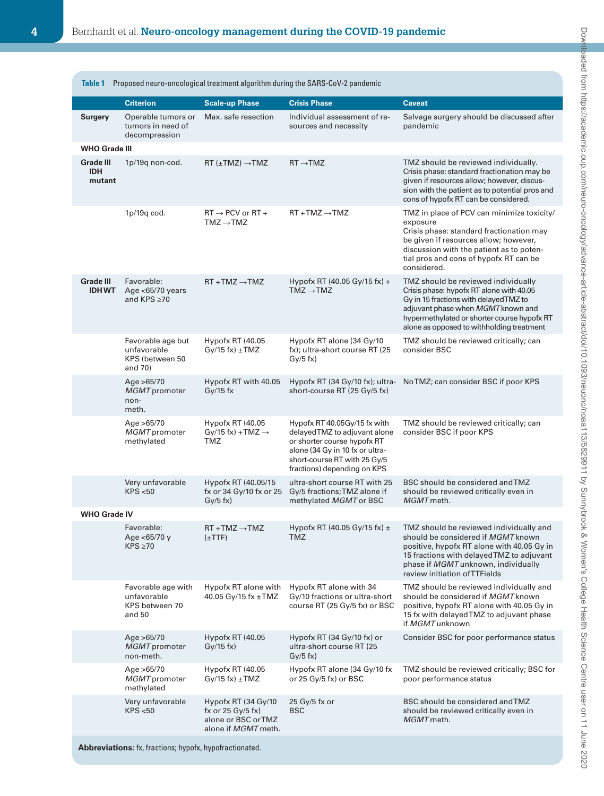<span id="page-3-0"></span>

| <b>Table 1</b><br>Proposed neuro-oncological treatment algorithm during the SARS-CoV-2 pandemic |                                                                |                                                                      |                                                                                                                                                                                               |                                                                                                                                                                                                                                                             |
|-------------------------------------------------------------------------------------------------|----------------------------------------------------------------|----------------------------------------------------------------------|-----------------------------------------------------------------------------------------------------------------------------------------------------------------------------------------------|-------------------------------------------------------------------------------------------------------------------------------------------------------------------------------------------------------------------------------------------------------------|
|                                                                                                 | <b>Criterion</b>                                               | <b>Scale-up Phase</b>                                                | <b>Crisis Phase</b>                                                                                                                                                                           | <b>Caveat</b>                                                                                                                                                                                                                                               |
| Surgery                                                                                         | Operable tumors or<br>tumors in need of<br>decompression       | Max, safe resection                                                  | Individual assessment of re-<br>sources and necessity                                                                                                                                         | Salvage surgery should be discussed after<br>pandemic                                                                                                                                                                                                       |
| <b>WHO Grade III</b>                                                                            |                                                                |                                                                      |                                                                                                                                                                                               |                                                                                                                                                                                                                                                             |
| Grade III<br><b>IDH</b><br>mutant                                                               | 1p/19q non-cod.                                                | $RT(\pm TMZ) \rightarrow TMZ$                                        | $RT \rightarrow TMZ$                                                                                                                                                                          | TMZ should be reviewed individually.<br>Crisis phase: standard fractionation may be<br>given if resources allow; however, discus-<br>sion with the patient as to potential pros and<br>cons of hypofx RT can be considered.                                 |
|                                                                                                 | 1p/19q cod.                                                    | $RT \rightarrow PCV$ or $RT +$<br>$TMZ \rightarrow TMZ$              | $RT + TMZ \rightarrow TMZ$                                                                                                                                                                    | TMZ in place of PCV can minimize toxicity/<br>exposure<br>Crisis phase: standard fractionation may<br>be given if resources allow; however,<br>discussion with the patient as to poten-<br>tial pros and cons of hypofx RT can be<br>considered.            |
| Grade III<br><b>IDHWT</b>                                                                       | Favorable:<br>Age $<$ 65/70 years<br>and KPS ≥70               | $RT + TMZ \rightarrow TMZ$                                           | Hypofx RT (40.05 Gy/15 fx) +<br>$TMZ \rightarrow TMZ$                                                                                                                                         | TMZ should be reviewed individually<br>Crisis phase: hypofx RT alone with 40.05<br>Gy in 15 fractions with delayed TMZ to<br>adjuvant phase when MGMT known and<br>hypermethylated or shorter course hypofx RT<br>alone as opposed to withholding treatment |
|                                                                                                 | Favorable age but<br>unfavorable<br>KPS (between 50<br>and 70) | Hypofx RT (40.05<br>$Gy/15$ fx) $\pm TMZ$                            | Hypofx RT alone (34 Gy/10<br>fx); ultra-short course RT (25<br>$Gy/5$ fx)                                                                                                                     | TMZ should be reviewed critically; can<br>consider BSC                                                                                                                                                                                                      |
|                                                                                                 | Age $>65/70$<br>MGMT promoter<br>non-<br>meth.                 | Hypofx RT with 40.05<br>$Gy/15$ fx                                   | Hypofx RT (34 Gy/10 fx); ultra-<br>short-course RT (25 Gy/5 fx)                                                                                                                               | NoTMZ; can consider BSC if poor KPS                                                                                                                                                                                                                         |
|                                                                                                 | Age $>65/70$<br><b>MGMT</b> promoter<br>methylated             | Hypofx RT (40.05<br>$Gy/15$ fx) + TMZ $\rightarrow$<br>TMZ           | Hypofx RT 40.05Gy/15 fx with<br>delayedTMZ to adjuvant alone<br>or shorter course hypofx RT<br>alone (34 Gy in 10 fx or ultra-<br>short-course RT with 25 Gy/5<br>fractions) depending on KPS | TMZ should be reviewed critically; can<br>consider BSC if poor KPS                                                                                                                                                                                          |
|                                                                                                 | Very unfavorable<br>KPS < 50                                   | Hypofx RT (40.05/15<br>fx or 34 Gy/10 fx or 25<br>$Gy/5$ fx)         | ultra-short course RT with 25<br>Gy/5 fractions; TMZ alone if<br>methylated MGMT or BSC                                                                                                       | BSC should be considered and TMZ<br>should be reviewed critically even in<br>MGMT meth.                                                                                                                                                                     |
| <b>WHO Grade IV</b>                                                                             |                                                                |                                                                      |                                                                                                                                                                                               |                                                                                                                                                                                                                                                             |
|                                                                                                 | Favorable:<br>Age <65/70 y<br>$KPS \geq 70$                    | $RT + TMZ \rightarrow TMZ$<br>$(\pm TTF)$                            | Hypofx RT (40.05 Gy/15 fx) $\pm$<br><b>TMZ</b>                                                                                                                                                | TMZ should be reviewed individually and<br>should be considered if MGMT known<br>positive, hypofx RT alone with 40.05 Gy in<br>15 fractions with delayed TMZ to adjuvant<br>phase if MGMT unknown, individually<br>review initiation of TTFields            |
|                                                                                                 | Favorable age with<br>unfavorable<br>KPS between 70<br>and 50  | Hypofx RT alone with<br>40.05 Gy/15 fx ±TMZ                          | Hypofx RT alone with 34<br>Gy/10 fractions or ultra-short<br>course RT (25 Gy/5 fx) or BSC                                                                                                    | TMZ should be reviewed individually and<br>should be considered if MGMT known<br>positive, hypofx RT alone with 40.05 Gy in<br>15 fx with delayed TMZ to adjuvant phase<br>if MGMT unknown                                                                  |
|                                                                                                 | Age $>65/70$<br>MGMT promoter<br>non-meth.                     | Hypofx RT (40.05<br>$Gv/15$ fx)                                      | Hypofx RT $(34 \text{ Gy}/10 \text{ fx})$ or<br>ultra-short course RT (25<br>$Gy/5$ fx)                                                                                                       | Consider BSC for poor performance status                                                                                                                                                                                                                    |
|                                                                                                 | Age >65/70<br>MGMT promoter<br>methylated                      | Hypofx RT (40.05<br>$Gy/15$ fx) $\pm TMZ$                            | Hypofx RT alone (34 Gy/10 fx<br>or 25 Gy/5 fx) or BSC                                                                                                                                         | TMZ should be reviewed critically; BSC for<br>poor performance status                                                                                                                                                                                       |
|                                                                                                 | Very unfavorable<br>KPS < 50                                   | Hypofx RT (34 Gy/10<br>fx or $25$ Gy/ $5$ fx)<br>alone or BSC or TMZ | 25 Gy/5 fx or<br>BSC                                                                                                                                                                          | BSC should be considered and TMZ<br>should be reviewed critically even in<br>MGMT meth.                                                                                                                                                                     |

alone if *MGMT* meth.

**Grade III IDH WT**

**WHO Grade IV**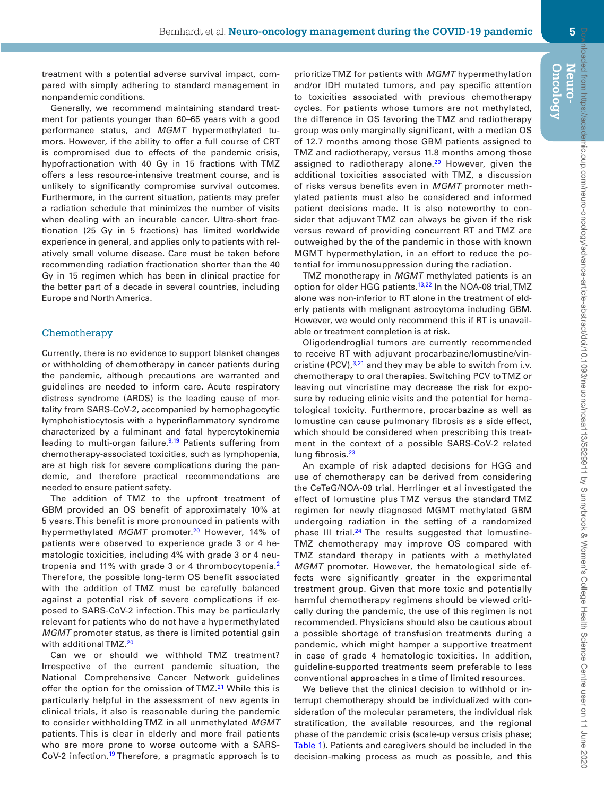treatment with a potential adverse survival impact, compared with simply adhering to standard management in nonpandemic conditions.

Generally, we recommend maintaining standard treatment for patients younger than 60–65 years with a good performance status, and *MGMT* hypermethylated tumors. However, if the ability to offer a full course of CRT is compromised due to effects of the pandemic crisis, hypofractionation with 40 Gy in 15 fractions with TMZ offers a less resource-intensive treatment course, and is unlikely to significantly compromise survival outcomes. Furthermore, in the current situation, patients may prefer a radiation schedule that minimizes the number of visits when dealing with an incurable cancer. Ultra-short fractionation (25 Gy in 5 fractions) has limited worldwide experience in general, and applies only to patients with relatively small volume disease. Care must be taken before recommending radiation fractionation shorter than the 40 Gy in 15 regimen which has been in clinical practice for the better part of a decade in several countries, including Europe and North America.

#### Chemotherapy

Currently, there is no evidence to support blanket changes or withholding of chemotherapy in cancer patients during the pandemic, although precautions are warranted and guidelines are needed to inform care. Acute respiratory distress syndrome (ARDS) is the leading cause of mortality from SARS-CoV-2, accompanied by hemophagocytic lymphohistiocytosis with a hyperinflammatory syndrome characterized by a fulminant and fatal hypercytokinemia leading to multi-organ failure. $9,19$  $9,19$  Patients suffering from chemotherapy-associated toxicities, such as lymphopenia, are at high risk for severe complications during the pandemic, and therefore practical recommendations are needed to ensure patient safety.

The addition of TMZ to the upfront treatment of GBM provided an OS benefit of approximately 10% at 5 years. This benefit is more pronounced in patients with hypermethylated MGMT promoter.<sup>20</sup> However, 14% of patients were observed to experience grade 3 or 4 hematologic toxicities, including 4% with grade 3 or 4 neutropenia and 11% with grade 3 or 4 thrombocytopenia.[2](#page-7-1) Therefore, the possible long-term OS benefit associated with the addition of TMZ must be carefully balanced against a potential risk of severe complications if exposed to SARS-CoV-2 infection. This may be particularly relevant for patients who do not have a hypermethylated *MGMT* promoter status, as there is limited potential gain with additional TMZ.<sup>[20](#page-7-16)</sup>

Can we or should we withhold TMZ treatment? Irrespective of the current pandemic situation, the National Comprehensive Cancer Network guidelines offer the option for the omission of TMZ.<sup>[21](#page-7-17)</sup> While this is particularly helpful in the assessment of new agents in clinical trials, it also is reasonable during the pandemic to consider withholding TMZ in all unmethylated *MGMT* patients. This is clear in elderly and more frail patients who are more prone to worse outcome with a SARS-CoV-2 infection.<sup>[19](#page-7-15)</sup> Therefore, a pragmatic approach is to prioritize TMZ for patients with *MGMT* hypermethylation and/or IDH mutated tumors, and pay specific attention to toxicities associated with previous chemotherapy cycles. For patients whose tumors are not methylated, the difference in OS favoring the TMZ and radiotherapy group was only marginally significant, with a median OS of 12.7 months among those GBM patients assigned to TMZ and radiotherapy, versus 11.8 months among those assigned to radiotherapy alone.<sup>20</sup> However, given the additional toxicities associated with TMZ, a discussion of risks versus benefits even in *MGMT* promoter methylated patients must also be considered and informed patient decisions made. It is also noteworthy to consider that adjuvant TMZ can always be given if the risk versus reward of providing concurrent RT and TMZ are outweighed by the of the pandemic in those with known MGMT hypermethylation, in an effort to reduce the potential for immunosuppression during the radiation.

TMZ monotherapy in *MGMT* methylated patients is an option for older HGG patients.<sup>[13](#page-7-18),22</sup> In the NOA-08 trial, TMZ alone was non-inferior to RT alone in the treatment of elderly patients with malignant astrocytoma including GBM. However, we would only recommend this if RT is unavailable or treatment completion is at risk.

Oligodendroglial tumors are currently recommended to receive RT with adjuvant procarbazine/lomustine/vincristine  $(PCV)$ ,<sup>[3](#page-7-2),[21](#page-7-17)</sup> and they may be able to switch from i.v. chemotherapy to oral therapies. Switching PCV to TMZ or leaving out vincristine may decrease the risk for exposure by reducing clinic visits and the potential for hematological toxicity. Furthermore, procarbazine as well as lomustine can cause pulmonary fibrosis as a side effect, which should be considered when prescribing this treatment in the context of a possible SARS-CoV-2 related lung fibrosis.<sup>[23](#page-7-20)</sup>

An example of risk adapted decisions for HGG and use of chemotherapy can be derived from considering the CeTeG/NOA-09 trial. Herrlinger et al investigated the effect of lomustine plus TMZ versus the standard TMZ regimen for newly diagnosed MGMT methylated GBM undergoing radiation in the setting of a randomized phase III trial. $^{24}$  The results suggested that lomustine-TMZ chemotherapy may improve OS compared with TMZ standard therapy in patients with a methylated *MGMT* promoter. However, the hematological side effects were significantly greater in the experimental treatment group. Given that more toxic and potentially harmful chemotherapy regimens should be viewed critically during the pandemic, the use of this regimen is not recommended. Physicians should also be cautious about a possible shortage of transfusion treatments during a pandemic, which might hamper a supportive treatment in case of grade 4 hematologic toxicities. In addition, guideline-supported treatments seem preferable to less conventional approaches in a time of limited resources.

We believe that the clinical decision to withhold or interrupt chemotherapy should be individualized with consideration of the molecular parameters, the individual risk stratification, the available resources, and the regional phase of the pandemic crisis (scale-up versus crisis phase; [Table 1\)](#page-3-0). Patients and caregivers should be included in the decision-making process as much as possible, and this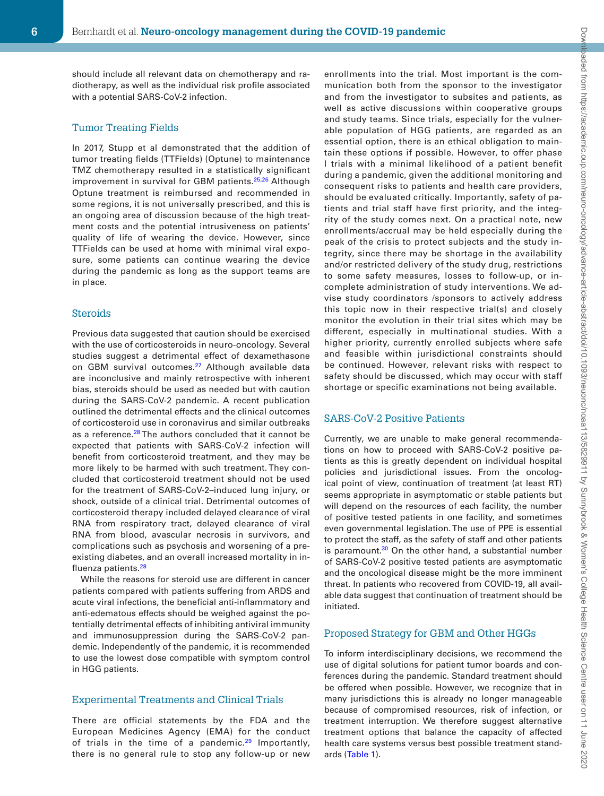enrollments into the trial. Most important is the communication both from the sponsor to the investigator and from the investigator to subsites and patients, as well as active discussions within cooperative groups and study teams. Since trials, especially for the vulnerable population of HGG patients, are regarded as an essential option, there is an ethical obligation to maintain these options if possible. However, to offer phase I trials with a minimal likelihood of a patient benefit during a pandemic, given the additional monitoring and consequent risks to patients and health care providers, should be evaluated critically. Importantly, safety of patients and trial staff have first priority, and the integrity of the study comes next. On a practical note, new enrollments/accrual may be held especially during the peak of the crisis to protect subjects and the study integrity, since there may be shortage in the availability and/or restricted delivery of the study drug, restrictions to some safety measures, losses to follow-up, or incomplete administration of study interventions. We advise study coordinators /sponsors to actively address this topic now in their respective trial(s) and closely monitor the evolution in their trial sites which may be different, especially in multinational studies. With a higher priority, currently enrolled subjects where safe and feasible within jurisdictional constraints should be continued. However, relevant risks with respect to safety should be discussed, which may occur with staff shortage or specific examinations not being available.

should include all relevant data on chemotherapy and radiotherapy, as well as the individual risk profile associated with a potential SARS-CoV-2 infection.

#### Tumor Treating Fields

In 2017, Stupp et al demonstrated that the addition of tumor treating fields (TTFields) (Optune) to maintenance TMZ chemotherapy resulted in a statistically significant improvement in survival for GBM patients.<sup>[25](#page-7-22),[26](#page-7-23)</sup> Although Optune treatment is reimbursed and recommended in some regions, it is not universally prescribed, and this is an ongoing area of discussion because of the high treatment costs and the potential intrusiveness on patients' quality of life of wearing the device. However, since TTFields can be used at home with minimal viral exposure, some patients can continue wearing the device during the pandemic as long as the support teams are in place.

#### Steroids

Previous data suggested that caution should be exercised with the use of corticosteroids in neuro-oncology. Several studies suggest a detrimental effect of dexamethasone on GBM survival outcomes.<sup>[27](#page-7-24)</sup> Although available data are inconclusive and mainly retrospective with inherent bias, steroids should be used as needed but with caution during the SARS-CoV-2 pandemic. A recent publication outlined the detrimental effects and the clinical outcomes of corticosteroid use in coronavirus and similar outbreaks as a reference.<sup>28</sup> The authors concluded that it cannot be expected that patients with SARS-CoV-2 infection will benefit from corticosteroid treatment, and they may be more likely to be harmed with such treatment. They concluded that corticosteroid treatment should not be used for the treatment of SARS-CoV-2–induced lung injury, or shock, outside of a clinical trial. Detrimental outcomes of corticosteroid therapy included delayed clearance of viral RNA from respiratory tract, delayed clearance of viral RNA from blood, avascular necrosis in survivors, and complications such as psychosis and worsening of a preexisting diabetes, and an overall increased mortality in influenza patients.[28](#page-7-25)

While the reasons for steroid use are different in cancer patients compared with patients suffering from ARDS and acute viral infections, the beneficial anti-inflammatory and anti-edematous effects should be weighed against the potentially detrimental effects of inhibiting antiviral immunity and immunosuppression during the SARS-CoV-2 pandemic. Independently of the pandemic, it is recommended to use the lowest dose compatible with symptom control in HGG patients.

#### Experimental Treatments and Clinical Trials

There are official statements by the FDA and the European Medicines Agency (EMA) for the conduct of trials in the time of a pandemic.<sup>29</sup> Importantly, there is no general rule to stop any follow-up or new

# SARS-CoV-2 Positive Patients

Currently, we are unable to make general recommendations on how to proceed with SARS-CoV-2 positive patients as this is greatly dependent on individual hospital policies and jurisdictional issues. From the oncological point of view, continuation of treatment (at least RT) seems appropriate in asymptomatic or stable patients but will depend on the resources of each facility, the number of positive tested patients in one facility, and sometimes even governmental legislation. The use of PPE is essential to protect the staff, as the safety of staff and other patients is paramount. $30$  On the other hand, a substantial number of SARS-CoV-2 positive tested patients are asymptomatic and the oncological disease might be the more imminent threat. In patients who recovered from COVID-19, all available data suggest that continuation of treatment should be initiated.

#### Proposed Strategy for GBM and Other HGGs

To inform interdisciplinary decisions, we recommend the use of digital solutions for patient tumor boards and conferences during the pandemic. Standard treatment should be offered when possible. However, we recognize that in many jurisdictions this is already no longer manageable because of compromised resources, risk of infection, or treatment interruption. We therefore suggest alternative treatment options that balance the capacity of affected health care systems versus best possible treatment standards [\(Table 1](#page-3-0)).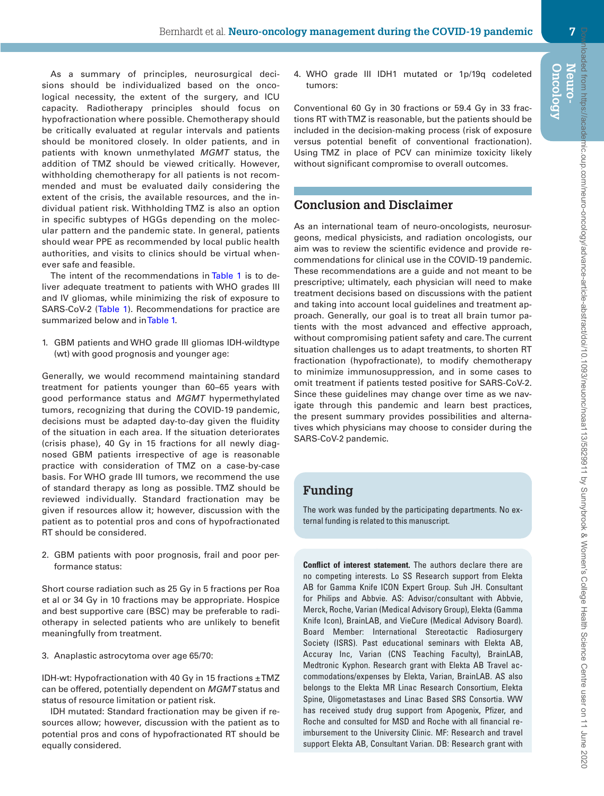**Oncology Neuro-**

As a summary of principles, neurosurgical decisions should be individualized based on the oncological necessity, the extent of the surgery, and ICU capacity. Radiotherapy principles should focus on hypofractionation where possible. Chemotherapy should be critically evaluated at regular intervals and patients should be monitored closely. In older patients, and in patients with known unmethylated *MGMT* status, the addition of TMZ should be viewed critically. However, withholding chemotherapy for all patients is not recommended and must be evaluated daily considering the extent of the crisis, the available resources, and the individual patient risk. Withholding TMZ is also an option in specific subtypes of HGGs depending on the molecular pattern and the pandemic state. In general, patients should wear PPE as recommended by local public health authorities, and visits to clinics should be virtual whenever safe and feasible.

The intent of the recommendations in [Table 1](#page-3-0) is to deliver adequate treatment to patients with WHO grades III and IV gliomas, while minimizing the risk of exposure to SARS-CoV-2 [\(Table 1\)](#page-3-0). Recommendations for practice are summarized below and in [Table 1.](#page-3-0)

1. GBM patients and WHO grade III gliomas IDH-wildtype (wt) with good prognosis and younger age:

Generally, we would recommend maintaining standard treatment for patients younger than 60–65 years with good performance status and *MGMT* hypermethylated tumors, recognizing that during the COVID-19 pandemic, decisions must be adapted day-to-day given the fluidity of the situation in each area. If the situation deteriorates (crisis phase), 40 Gy in 15 fractions for all newly diagnosed GBM patients irrespective of age is reasonable practice with consideration of TMZ on a case-by-case basis. For WHO grade III tumors, we recommend the use of standard therapy as long as possible. TMZ should be reviewed individually. Standard fractionation may be given if resources allow it; however, discussion with the patient as to potential pros and cons of hypofractionated RT should be considered.

2. GBM patients with poor prognosis, frail and poor performance status:

Short course radiation such as 25 Gy in 5 fractions per Roa et al or 34 Gy in 10 fractions may be appropriate. Hospice and best supportive care (BSC) may be preferable to radiotherapy in selected patients who are unlikely to benefit meaningfully from treatment.

3. Anaplastic astrocytoma over age 65/70:

IDH-wt: Hypofractionation with 40 Gy in 15 fractions  $\pm TMZ$ can be offered, potentially dependent on *MGMT* status and status of resource limitation or patient risk.

IDH mutated: Standard fractionation may be given if resources allow; however, discussion with the patient as to potential pros and cons of hypofractionated RT should be equally considered.

4. WHO grade III IDH1 mutated or 1p/19q codeleted tumors:

Conventional 60 Gy in 30 fractions or 59.4 Gy in 33 fractions RT with TMZ is reasonable, but the patients should be included in the decision-making process (risk of exposure versus potential benefit of conventional fractionation). Using TMZ in place of PCV can minimize toxicity likely without significant compromise to overall outcomes.

## **Conclusion and Disclaimer**

As an international team of neuro-oncologists, neurosurgeons, medical physicists, and radiation oncologists, our aim was to review the scientific evidence and provide recommendations for clinical use in the COVID-19 pandemic. These recommendations are a guide and not meant to be prescriptive; ultimately, each physician will need to make treatment decisions based on discussions with the patient and taking into account local guidelines and treatment approach. Generally, our goal is to treat all brain tumor patients with the most advanced and effective approach, without compromising patient safety and care. The current situation challenges us to adapt treatments, to shorten RT fractionation (hypofractionate), to modify chemotherapy to minimize immunosuppression, and in some cases to omit treatment if patients tested positive for SARS-CoV-2. Since these guidelines may change over time as we navigate through this pandemic and learn best practices, the present summary provides possibilities and alternatives which physicians may choose to consider during the SARS-CoV-2 pandemic.

## **Funding**

The work was funded by the participating departments. No external funding is related to this manuscript.

**Conflict of interest statement.** The authors declare there are no competing interests. Lo SS Research support from Elekta AB for Gamma Knife ICON Expert Group. Suh JH. Consultant for Philips and Abbvie. AS: Advisor/consultant with Abbvie, Merck, Roche, Varian (Medical Advisory Group), Elekta (Gamma Knife Icon), BrainLAB, and VieCure (Medical Advisory Board). Board Member: International Stereotactic Radiosurgery Society (ISRS). Past educational seminars with Elekta AB, Accuray Inc, Varian (CNS Teaching Faculty), BrainLAB, Medtronic Kyphon. Research grant with Elekta AB Travel accommodations/expenses by Elekta, Varian, BrainLAB. AS also belongs to the Elekta MR Linac Research Consortium, Elekta Spine, Oligometastases and Linac Based SRS Consortia. WW has received study drug support from Apogenix, Pfizer, and Roche and consulted for MSD and Roche with all financial reimbursement to the University Clinic. MF: Research and travel support Elekta AB, Consultant Varian. DB: Research grant with